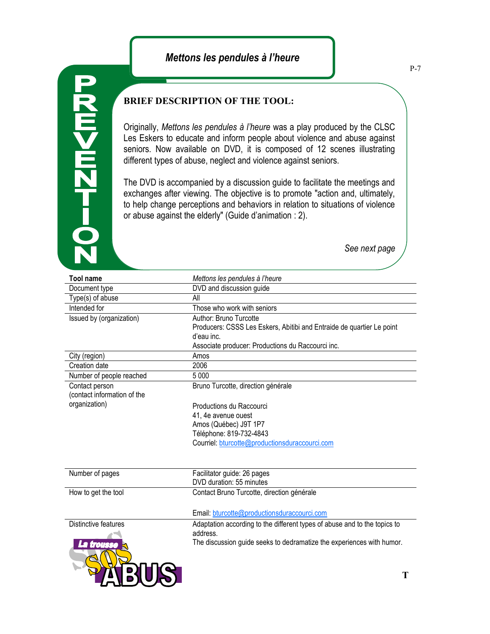## *Mettons les pendules à l'heure*

## **D-HZM<MZ**

## **BRIEF DESCRIPTION OF THE TOOL:**

Originally, *Mettons les pendules à l'heure* was a play produced by the CLSC Les Eskers to educate and inform people about violence and abuse against seniors. Now available on DVD, it is composed of 12 scenes illustrating different types of abuse, neglect and violence against seniors.

The DVD is accompanied by a discussion guide to facilitate the meetings and exchanges after viewing. The objective is to promote "action and, ultimately, to help change perceptions and behaviors in relation to situations of violence or abuse against the elderly" (Guide d'animation : 2).

*See next page*

| <b>Tool name</b>            | Mettons les pendules à l'heure                                            |
|-----------------------------|---------------------------------------------------------------------------|
| Document type               | DVD and discussion guide                                                  |
| Type(s) of abuse            | All                                                                       |
| Intended for                | Those who work with seniors                                               |
| Issued by (organization)    | Author: Bruno Turcotte                                                    |
|                             | Producers: CSSS Les Eskers, Abitibi and Entraide de quartier Le point     |
|                             | d'eau inc.                                                                |
|                             | Associate producer: Productions du Raccourci inc.                         |
| City (region)               | Amos                                                                      |
| Creation date               | 2006                                                                      |
| Number of people reached    | 5 0 0 0                                                                   |
| Contact person              | Bruno Turcotte, direction générale                                        |
| (contact information of the |                                                                           |
| organization)               | Productions du Raccourci                                                  |
|                             | 41, 4e avenue ouest                                                       |
|                             | Amos (Québec) J9T 1P7                                                     |
|                             | Téléphone: 819-732-4843                                                   |
|                             | Courriel: bturcotte@productionsduraccourci.com                            |
|                             |                                                                           |
| Number of pages             | Facilitator guide: 26 pages                                               |
|                             | DVD duration: 55 minutes                                                  |
| How to get the tool         | Contact Bruno Turcotte, direction générale                                |
|                             | Email: bturcotte@productionsduraccourci.com                               |
| Distinctive features        | Adaptation according to the different types of abuse and to the topics to |
|                             | address.                                                                  |
| trouss                      | The discussion guide seeks to dedramatize the experiences with humor.     |